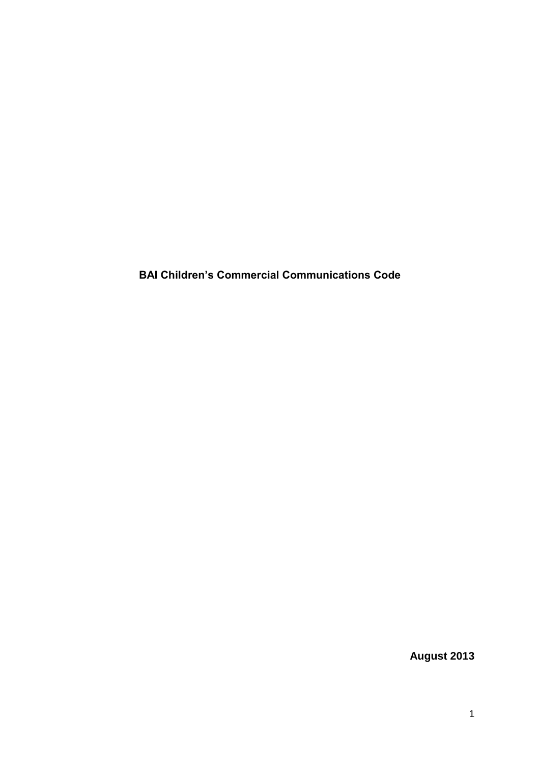**BAI Children's Commercial Communications Code**

**August 2013**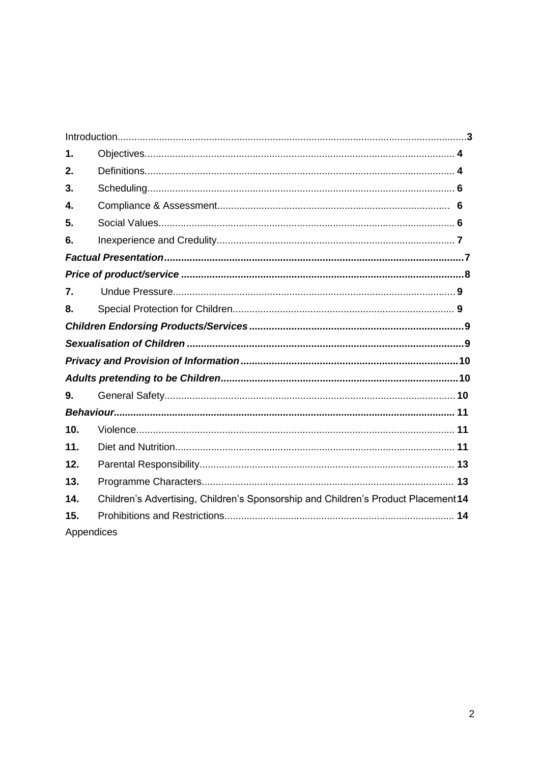| 1.               |                                                                                   |  |
|------------------|-----------------------------------------------------------------------------------|--|
| 2.               |                                                                                   |  |
| 3.               |                                                                                   |  |
| 4.               |                                                                                   |  |
| 5.               |                                                                                   |  |
| 6.               |                                                                                   |  |
|                  |                                                                                   |  |
|                  |                                                                                   |  |
| $\overline{7}$ . |                                                                                   |  |
| 8.               |                                                                                   |  |
|                  |                                                                                   |  |
|                  |                                                                                   |  |
|                  |                                                                                   |  |
|                  |                                                                                   |  |
| 9.               |                                                                                   |  |
|                  |                                                                                   |  |
| 10.              |                                                                                   |  |
| 11.              |                                                                                   |  |
| 12.              |                                                                                   |  |
| 13.              |                                                                                   |  |
| 14.              | Children's Advertising, Children's Sponsorship and Children's Product Placement14 |  |
| 15.              |                                                                                   |  |
| Appendices       |                                                                                   |  |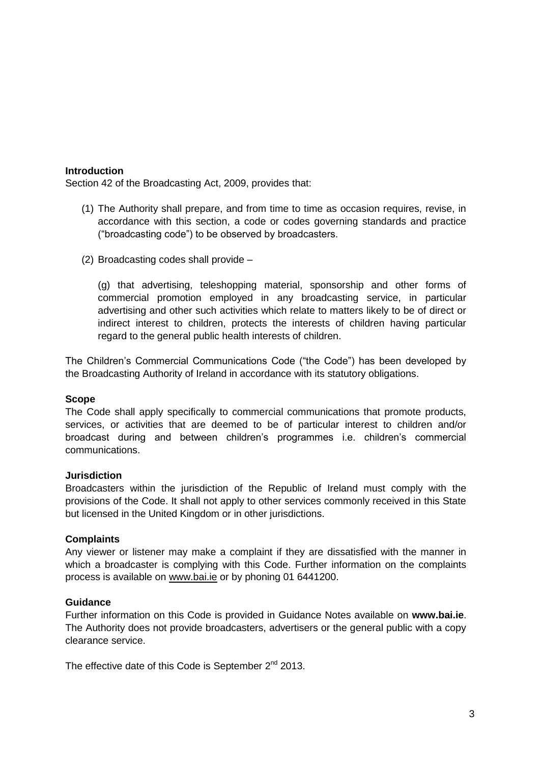## <span id="page-2-0"></span>**Introduction**

Section 42 of the Broadcasting Act, 2009, provides that:

- (1) The Authority shall prepare, and from time to time as occasion requires, revise, in accordance with this section, a code or codes governing standards and practice ("broadcasting code") to be observed by broadcasters.
- (2) Broadcasting codes shall provide –

(g) that advertising, teleshopping material, sponsorship and other forms of commercial promotion employed in any broadcasting service, in particular advertising and other such activities which relate to matters likely to be of direct or indirect interest to children, protects the interests of children having particular regard to the general public health interests of children.

The Children's Commercial Communications Code ("the Code") has been developed by the Broadcasting Authority of Ireland in accordance with its statutory obligations.

#### **Scope**

The Code shall apply specifically to commercial communications that promote products, services, or activities that are deemed to be of particular interest to children and/or broadcast during and between children's programmes i.e. children's commercial communications.

#### **Jurisdiction**

Broadcasters within the jurisdiction of the Republic of Ireland must comply with the provisions of the Code. It shall not apply to other services commonly received in this State but licensed in the United Kingdom or in other jurisdictions.

#### **Complaints**

Any viewer or listener may make a complaint if they are dissatisfied with the manner in which a broadcaster is complying with this Code. Further information on the complaints process is available on [www.bai.ie](http://www.bai.ie/) or by phoning 01 6441200.

#### **Guidance**

Further information on this Code is provided in Guidance Notes available on **www.bai.ie**. The Authority does not provide broadcasters, advertisers or the general public with a copy clearance service.

The effective date of this Code is September  $2^{nd}$  2013.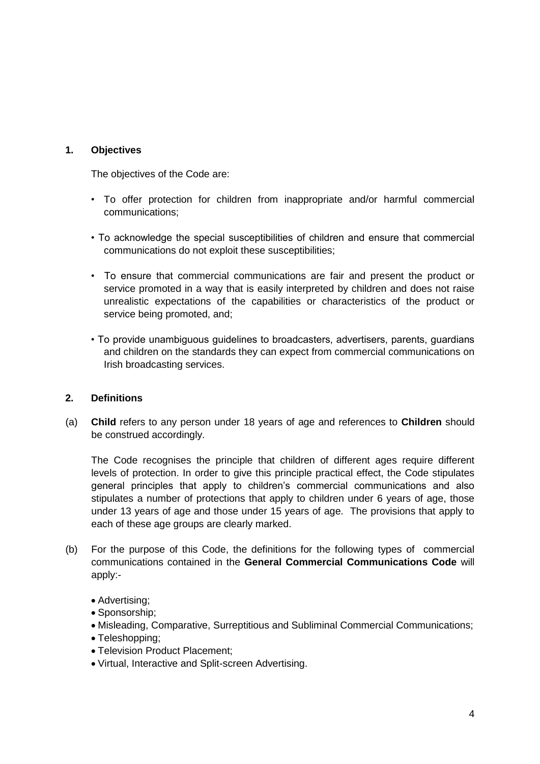# <span id="page-3-0"></span>**1. Objectives**

The objectives of the Code are:

- To offer protection for children from inappropriate and/or harmful commercial communications;
- To acknowledge the special susceptibilities of children and ensure that commercial communications do not exploit these susceptibilities;
- To ensure that commercial communications are fair and present the product or service promoted in a way that is easily interpreted by children and does not raise unrealistic expectations of the capabilities or characteristics of the product or service being promoted, and;
- To provide unambiguous guidelines to broadcasters, advertisers, parents, guardians and children on the standards they can expect from commercial communications on Irish broadcasting services.

## <span id="page-3-1"></span>**2. Definitions**

(a) **Child** refers to any person under 18 years of age and references to **Children** should be construed accordingly.

The Code recognises the principle that children of different ages require different levels of protection. In order to give this principle practical effect, the Code stipulates general principles that apply to children's commercial communications and also stipulates a number of protections that apply to children under 6 years of age, those under 13 years of age and those under 15 years of age. The provisions that apply to each of these age groups are clearly marked.

- (b) For the purpose of this Code, the definitions for the following types of commercial communications contained in the **General Commercial Communications Code** will apply:-
	- Advertising;
	- Sponsorship:
	- Misleading, Comparative, Surreptitious and Subliminal Commercial Communications;
	- Teleshopping;
	- Television Product Placement;
	- Virtual, Interactive and Split-screen Advertising.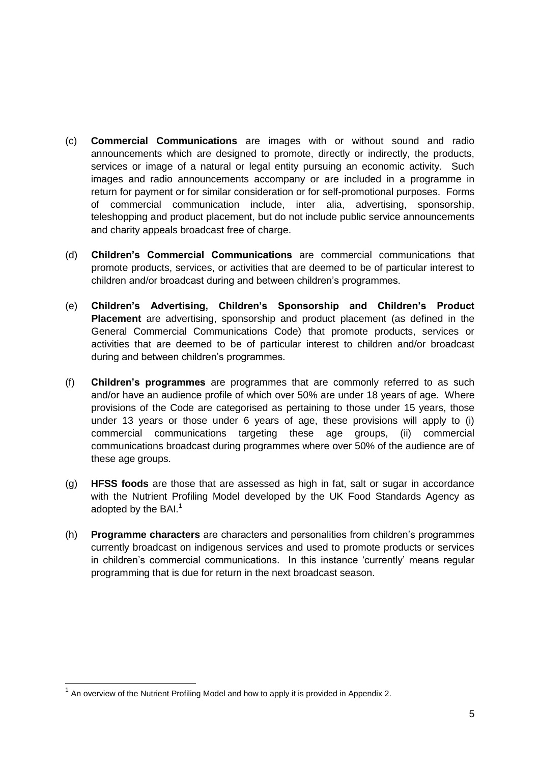- (c) **Commercial Communications** are images with or without sound and radio announcements which are designed to promote, directly or indirectly, the products, services or image of a natural or legal entity pursuing an economic activity. Such images and radio announcements accompany or are included in a programme in return for payment or for similar consideration or for self-promotional purposes. Forms of commercial communication include, inter alia, advertising, sponsorship, teleshopping and product placement, but do not include public service announcements and charity appeals broadcast free of charge.
- (d) **Children's Commercial Communications** are commercial communications that promote products, services, or activities that are deemed to be of particular interest to children and/or broadcast during and between children's programmes.
- (e) **Children's Advertising, Children's Sponsorship and Children's Product Placement** are advertising, sponsorship and product placement (as defined in the General Commercial Communications Code) that promote products, services or activities that are deemed to be of particular interest to children and/or broadcast during and between children's programmes.
- (f) **Children's programmes** are programmes that are commonly referred to as such and/or have an audience profile of which over 50% are under 18 years of age. Where provisions of the Code are categorised as pertaining to those under 15 years, those under 13 years or those under 6 years of age, these provisions will apply to (i) commercial communications targeting these age groups, (ii) commercial communications broadcast during programmes where over 50% of the audience are of these age groups.
- (g) **HFSS foods** are those that are assessed as high in fat, salt or sugar in accordance with the Nutrient Profiling Model developed by the UK Food Standards Agency as adopted by the  $BAI<sup>1</sup>$
- (h) **Programme characters** are characters and personalities from children's programmes currently broadcast on indigenous services and used to promote products or services in children's commercial communications. In this instance 'currently' means regular programming that is due for return in the next broadcast season.

**.** 

 $1$  An overview of the Nutrient Profiling Model and how to apply it is provided in Appendix 2.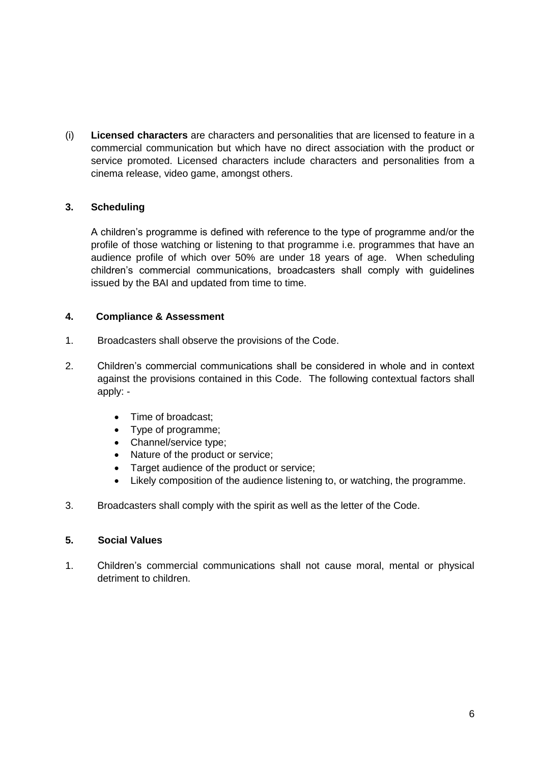(i) **Licensed characters** are characters and personalities that are licensed to feature in a commercial communication but which have no direct association with the product or service promoted. Licensed characters include characters and personalities from a cinema release, video game, amongst others.

# <span id="page-5-0"></span>**3. Scheduling**

A children's programme is defined with reference to the type of programme and/or the profile of those watching or listening to that programme i.e. programmes that have an audience profile of which over 50% are under 18 years of age. When scheduling children's commercial communications, broadcasters shall comply with guidelines issued by the BAI and updated from time to time.

## <span id="page-5-1"></span>**4. Compliance & Assessment**

- 1. Broadcasters shall observe the provisions of the Code.
- 2. Children's commercial communications shall be considered in whole and in context against the provisions contained in this Code. The following contextual factors shall apply: -
	- Time of broadcast:
	- Type of programme;
	- Channel/service type;
	- Nature of the product or service;
	- Target audience of the product or service;
	- Likely composition of the audience listening to, or watching, the programme.
- 3. Broadcasters shall comply with the spirit as well as the letter of the Code.

## <span id="page-5-2"></span>**5. Social Values**

1. Children's commercial communications shall not cause moral, mental or physical detriment to children.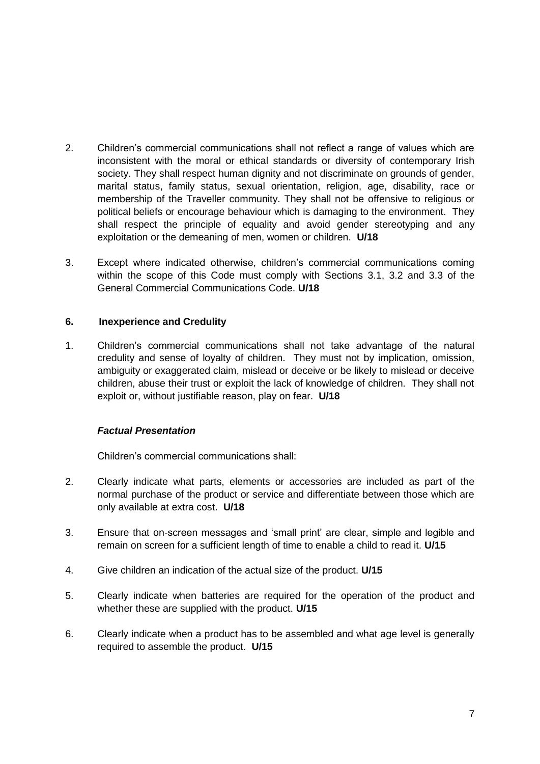- 2. Children's commercial communications shall not reflect a range of values which are inconsistent with the moral or ethical standards or diversity of contemporary Irish society. They shall respect human dignity and not discriminate on grounds of gender, marital status, family status, sexual orientation, religion, age, disability, race or membership of the Traveller community. They shall not be offensive to religious or political beliefs or encourage behaviour which is damaging to the environment. They shall respect the principle of equality and avoid gender stereotyping and any exploitation or the demeaning of men, women or children. **U/18**
- 3. Except where indicated otherwise, children's commercial communications coming within the scope of this Code must comply with Sections 3.1, 3.2 and 3.3 of the General Commercial Communications Code. **U/18**

## <span id="page-6-0"></span>**6. Inexperience and Credulity**

1.Children's commercial communications shall not take advantage of the natural credulity and sense of loyalty of children. They must not by implication, omission, ambiguity or exaggerated claim, mislead or deceive or be likely to mislead or deceive children, abuse their trust or exploit the lack of knowledge of children. They shall not exploit or, without justifiable reason, play on fear. **U/18**

## <span id="page-6-1"></span>*Factual Presentation*

Children's commercial communications shall:

- 2. Clearly indicate what parts, elements or accessories are included as part of the normal purchase of the product or service and differentiate between those which are only available at extra cost. **U/18**
- 3. Ensure that on-screen messages and 'small print' are clear, simple and legible and remain on screen for a sufficient length of time to enable a child to read it. **U/15**
- 4. Give children an indication of the actual size of the product. **U/15**
- 5. Clearly indicate when batteries are required for the operation of the product and whether these are supplied with the product. **U/15**
- 6. Clearly indicate when a product has to be assembled and what age level is generally required to assemble the product. **U/15**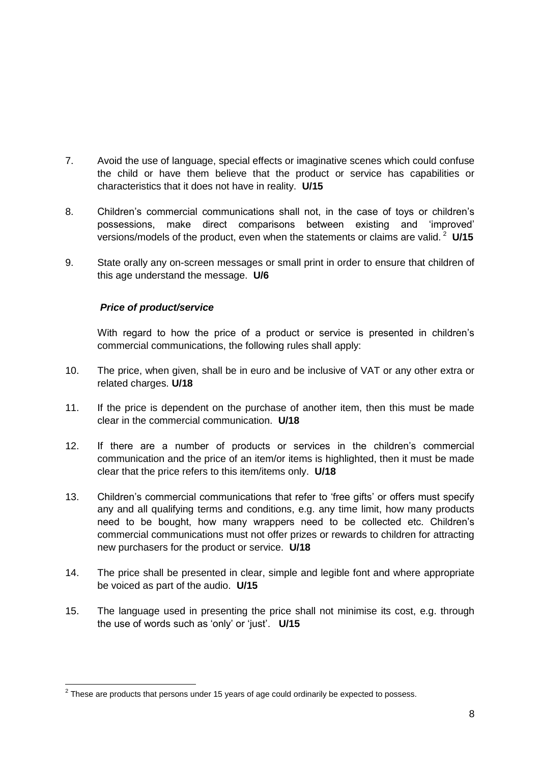- 7. Avoid the use of language, special effects or imaginative scenes which could confuse the child or have them believe that the product or service has capabilities or characteristics that it does not have in reality. **U/15**
- 8. Children's commercial communications shall not, in the case of toys or children's possessions, make direct comparisons between existing and 'improved' versions/models of the product, even when the statements or claims are valid. <sup>2</sup> U/15
- 9. State orally any on-screen messages or small print in order to ensure that children of this age understand the message. **U/6**

## <span id="page-7-0"></span>*Price of product/service*

With regard to how the price of a product or service is presented in children's commercial communications, the following rules shall apply:

- 10. The price, when given, shall be in euro and be inclusive of VAT or any other extra or related charges. **U/18**
- 11. If the price is dependent on the purchase of another item, then this must be made clear in the commercial communication. **U/18**
- 12. If there are a number of products or services in the children's commercial communication and the price of an item/or items is highlighted, then it must be made clear that the price refers to this item/items only. **U/18**
- 13. Children's commercial communications that refer to 'free gifts' or offers must specify any and all qualifying terms and conditions, e.g. any time limit, how many products need to be bought, how many wrappers need to be collected etc. Children's commercial communications must not offer prizes or rewards to children for attracting new purchasers for the product or service. **U/18**
- 14. The price shall be presented in clear, simple and legible font and where appropriate be voiced as part of the audio. **U/15**
- 15. The language used in presenting the price shall not minimise its cost, e.g. through the use of words such as 'only' or 'just'. **U/15**

 2 These are products that persons under 15 years of age could ordinarily be expected to possess.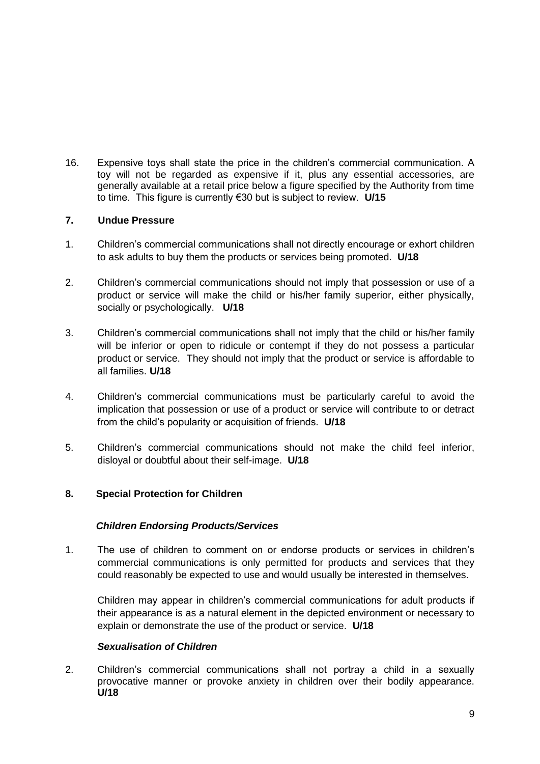16. Expensive toys shall state the price in the children's commercial communication. A toy will not be regarded as expensive if it, plus any essential accessories, are generally available at a retail price below a figure specified by the Authority from time to time. This figure is currently €30 but is subject to review. **U/15**

## <span id="page-8-0"></span>**7. Undue Pressure**

- 1. Children's commercial communications shall not directly encourage or exhort children to ask adults to buy them the products or services being promoted. **U/18**
- 2. Children's commercial communications should not imply that possession or use of a product or service will make the child or his/her family superior, either physically, socially or psychologically. **U/18**
- 3. Children's commercial communications shall not imply that the child or his/her family will be inferior or open to ridicule or contempt if they do not possess a particular product or service. They should not imply that the product or service is affordable to all families. **U/18**
- 4. Children's commercial communications must be particularly careful to avoid the implication that possession or use of a product or service will contribute to or detract from the child's popularity or acquisition of friends. **U/18**
- 5. Children's commercial communications should not make the child feel inferior, disloyal or doubtful about their self-image. **U/18**

## <span id="page-8-2"></span><span id="page-8-1"></span>**8. Special Protection for Children**

## *Children Endorsing Products/Services*

1. The use of children to comment on or endorse products or services in children's commercial communications is only permitted for products and services that they could reasonably be expected to use and would usually be interested in themselves.

Children may appear in children's commercial communications for adult products if their appearance is as a natural element in the depicted environment or necessary to explain or demonstrate the use of the product or service. **U/18**

## *Sexualisation of Children*

<span id="page-8-3"></span>2. Children's commercial communications shall not portray a child in a sexually provocative manner or provoke anxiety in children over their bodily appearance. **U/18**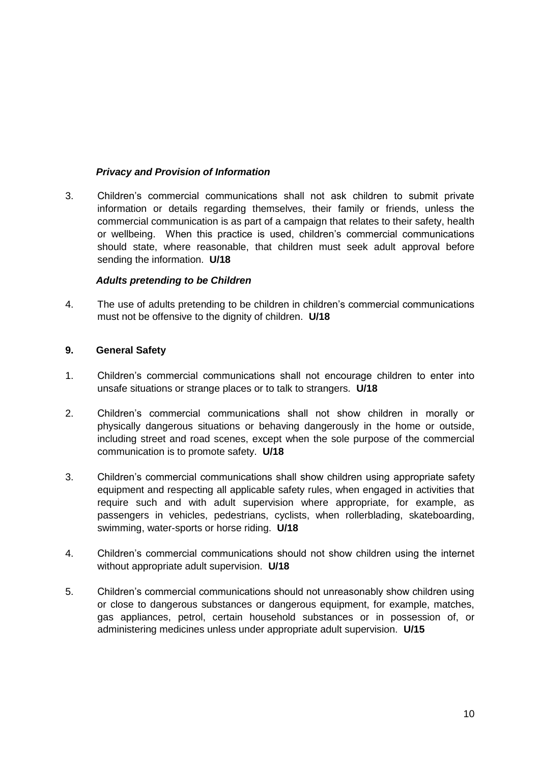## *Privacy and Provision of Information*

<span id="page-9-0"></span>3. Children's commercial communications shall not ask children to submit private information or details regarding themselves, their family or friends, unless the commercial communication is as part of a campaign that relates to their safety, health or wellbeing. When this practice is used, children's commercial communications should state, where reasonable, that children must seek adult approval before sending the information. **U/18**

## *Adults pretending to be Children*

<span id="page-9-1"></span>4. The use of adults pretending to be children in children's commercial communications must not be offensive to the dignity of children. **U/18**

## <span id="page-9-2"></span>**9. General Safety**

- 1. Children's commercial communications shall not encourage children to enter into unsafe situations or strange places or to talk to strangers. **U/18**
- 2. Children's commercial communications shall not show children in morally or physically dangerous situations or behaving dangerously in the home or outside, including street and road scenes, except when the sole purpose of the commercial communication is to promote safety. **U/18**
- 3. Children's commercial communications shall show children using appropriate safety equipment and respecting all applicable safety rules, when engaged in activities that require such and with adult supervision where appropriate, for example, as passengers in vehicles, pedestrians, cyclists, when rollerblading, skateboarding, swimming, water-sports or horse riding. **U/18**
- 4. Children's commercial communications should not show children using the internet without appropriate adult supervision. **U/18**
- 5. Children's commercial communications should not unreasonably show children using or close to dangerous substances or dangerous equipment, for example, matches, gas appliances, petrol, certain household substances or in possession of, or administering medicines unless under appropriate adult supervision. **U/15**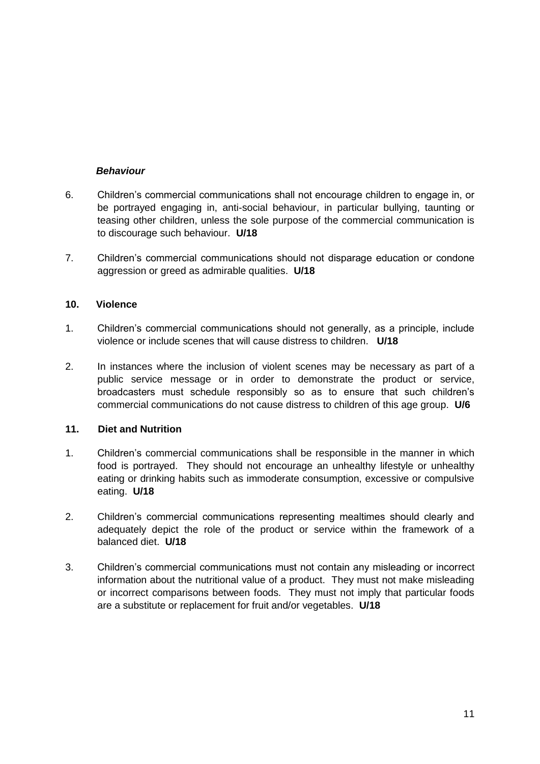## <span id="page-10-0"></span>*Behaviour*

- 6. Children's commercial communications shall not encourage children to engage in, or be portrayed engaging in, anti-social behaviour, in particular bullying, taunting or teasing other children, unless the sole purpose of the commercial communication is to discourage such behaviour. **U/18**
- 7. Children's commercial communications should not disparage education or condone aggression or greed as admirable qualities. **U/18**

#### <span id="page-10-1"></span>**10. Violence**

- 1. Children's commercial communications should not generally, as a principle, include violence or include scenes that will cause distress to children. **U/18**
- 2. In instances where the inclusion of violent scenes may be necessary as part of a public service message or in order to demonstrate the product or service, broadcasters must schedule responsibly so as to ensure that such children's commercial communications do not cause distress to children of this age group. **U/6**

## <span id="page-10-2"></span>**11. Diet and Nutrition**

- 1. Children's commercial communications shall be responsible in the manner in which food is portrayed. They should not encourage an unhealthy lifestyle or unhealthy eating or drinking habits such as immoderate consumption, excessive or compulsive eating. **U/18**
- 2. Children's commercial communications representing mealtimes should clearly and adequately depict the role of the product or service within the framework of a balanced diet. **U/18**
- 3. Children's commercial communications must not contain any misleading or incorrect information about the nutritional value of a product. They must not make misleading or incorrect comparisons between foods. They must not imply that particular foods are a substitute or replacement for fruit and/or vegetables. **U/18**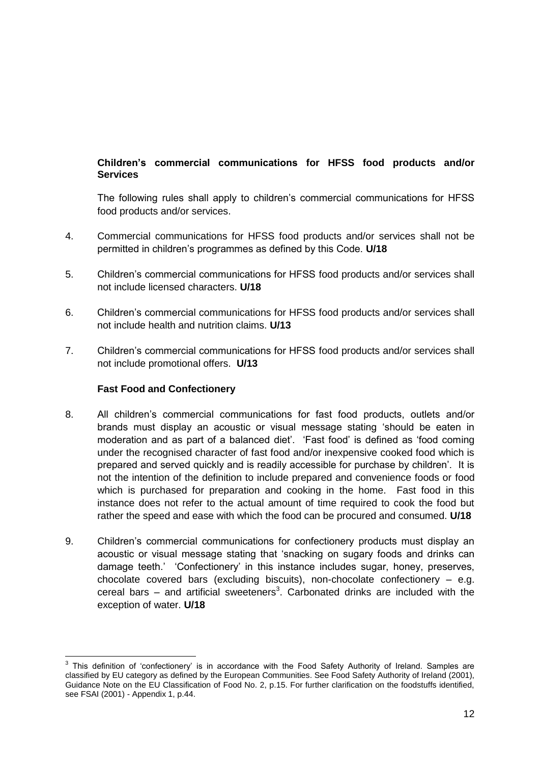# **Children's commercial communications for HFSS food products and/or Services**

The following rules shall apply to children's commercial communications for HFSS food products and/or services.

- 4. Commercial communications for HFSS food products and/or services shall not be permitted in children's programmes as defined by this Code. **U/18**
- 5. Children's commercial communications for HFSS food products and/or services shall not include licensed characters. **U/18**
- 6. Children's commercial communications for HFSS food products and/or services shall not include health and nutrition claims. **U/13**
- 7. Children's commercial communications for HFSS food products and/or services shall not include promotional offers. **U/13**

## **Fast Food and Confectionery**

- 8. All children's commercial communications for fast food products, outlets and/or brands must display an acoustic or visual message stating 'should be eaten in moderation and as part of a balanced diet'. 'Fast food' is defined as 'food coming under the recognised character of fast food and/or inexpensive cooked food which is prepared and served quickly and is readily accessible for purchase by children'. It is not the intention of the definition to include prepared and convenience foods or food which is purchased for preparation and cooking in the home. Fast food in this instance does not refer to the actual amount of time required to cook the food but rather the speed and ease with which the food can be procured and consumed. **U/18**
- 9. Children's commercial communications for confectionery products must display an acoustic or visual message stating that 'snacking on sugary foods and drinks can damage teeth.' 'Confectionery' in this instance includes sugar, honey, preserves, chocolate covered bars (excluding biscuits), non-chocolate confectionery – e.g. cereal bars  $-$  and artificial sweeteners<sup>3</sup>. Carbonated drinks are included with the exception of water. **U/18**

 3 This definition of 'confectionery' is in accordance with the Food Safety Authority of Ireland. Samples are classified by EU category as defined by the European Communities. See Food Safety Authority of Ireland (2001), Guidance Note on the EU Classification of Food No. 2, p.15. For further clarification on the foodstuffs identified, see FSAI (2001) - Appendix 1, p.44.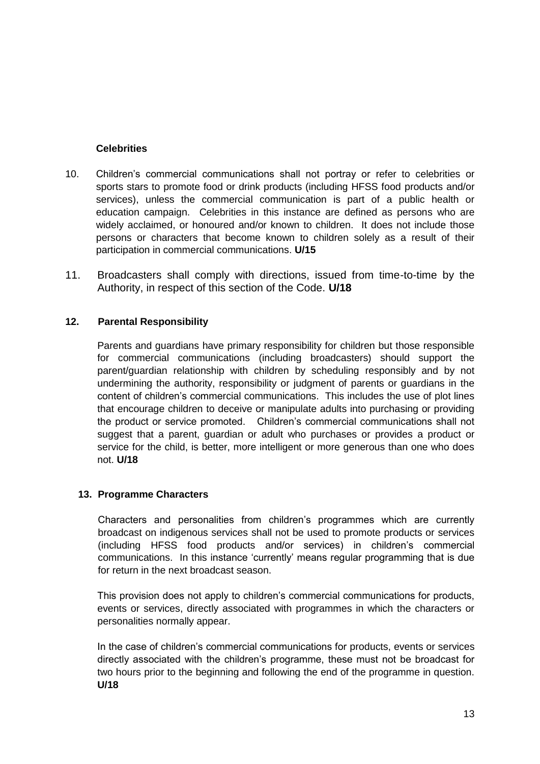# **Celebrities**

- 10. Children's commercial communications shall not portray or refer to celebrities or sports stars to promote food or drink products (including HFSS food products and/or services), unless the commercial communication is part of a public health or education campaign. Celebrities in this instance are defined as persons who are widely acclaimed, or honoured and/or known to children. It does not include those persons or characters that become known to children solely as a result of their participation in commercial communications. **U/15**
- 11. Broadcasters shall comply with directions, issued from time-to-time by the Authority, in respect of this section of the Code. **U/18**

# <span id="page-12-0"></span>**12. Parental Responsibility**

Parents and guardians have primary responsibility for children but those responsible for commercial communications (including broadcasters) should support the parent/guardian relationship with children by scheduling responsibly and by not undermining the authority, responsibility or judgment of parents or guardians in the content of children's commercial communications. This includes the use of plot lines that encourage children to deceive or manipulate adults into purchasing or providing the product or service promoted. Children's commercial communications shall not suggest that a parent, guardian or adult who purchases or provides a product or service for the child, is better, more intelligent or more generous than one who does not. **U/18**

# <span id="page-12-1"></span>**13. Programme Characters**

Characters and personalities from children's programmes which are currently broadcast on indigenous services shall not be used to promote products or services (including HFSS food products and/or services) in children's commercial communications. In this instance 'currently' means regular programming that is due for return in the next broadcast season.

This provision does not apply to children's commercial communications for products, events or services, directly associated with programmes in which the characters or personalities normally appear.

In the case of children's commercial communications for products, events or services directly associated with the children's programme, these must not be broadcast for two hours prior to the beginning and following the end of the programme in question. **U/18**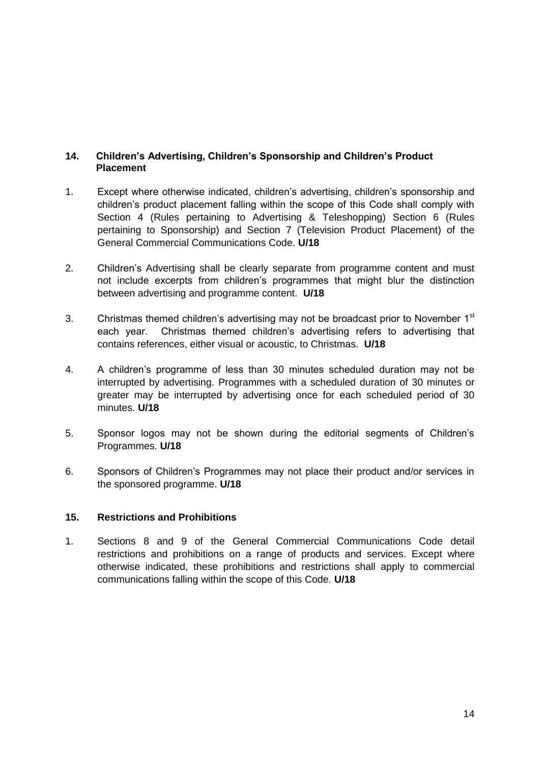## <span id="page-13-0"></span>**14. Children's Advertising, Children's Sponsorship and Children's Product Placement**

- 1. Except where otherwise indicated, children's advertising, children's sponsorship and children's product placement falling within the scope of this Code shall comply with Section 4 (Rules pertaining to Advertising & Teleshopping) Section 6 (Rules pertaining to Sponsorship) and Section 7 (Television Product Placement) of the General Commercial Communications Code. **U/18**
- 2. Children's Advertising shall be clearly separate from programme content and must not include excerpts from children's programmes that might blur the distinction between advertising and programme content. **U/18**
- 3. Christmas themed children's advertising may not be broadcast prior to November 1<sup>st</sup> each year. Christmas themed children's advertising refers to advertising that contains references, either visual or acoustic, to Christmas. **U/18**
- 4. A children's programme of less than 30 minutes scheduled duration may not be interrupted by advertising. Programmes with a scheduled duration of 30 minutes or greater may be interrupted by advertising once for each scheduled period of 30 minutes. **U/18**
- 5. Sponsor logos may not be shown during the editorial segments of Children's Programmes. **U/18**
- 6. Sponsors of Children's Programmes may not place their product and/or services in the sponsored programme. **U/18**

## <span id="page-13-1"></span>**15. Restrictions and Prohibitions**

1. Sections 8 and 9 of the General Commercial Communications Code detail restrictions and prohibitions on a range of products and services. Except where otherwise indicated, these prohibitions and restrictions shall apply to commercial communications falling within the scope of this Code. **U/18**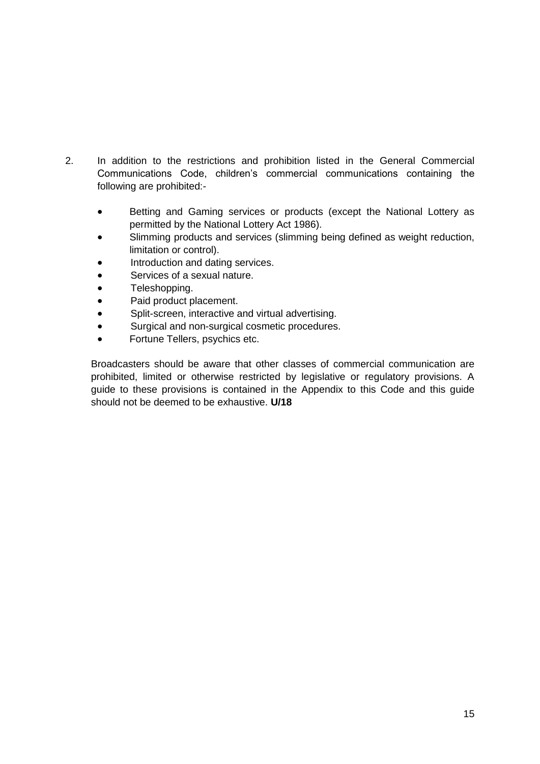- 2. In addition to the restrictions and prohibition listed in the General Commercial Communications Code, children's commercial communications containing the following are prohibited:-
	- Betting and Gaming services or products (except the National Lottery as permitted by the National Lottery Act 1986).
	- Slimming products and services (slimming being defined as weight reduction, limitation or control).
	- Introduction and dating services.
	- Services of a sexual nature.
	- Teleshopping.
	- Paid product placement.
	- Split-screen, interactive and virtual advertising.
	- Surgical and non-surgical cosmetic procedures.
	- Fortune Tellers, psychics etc.

Broadcasters should be aware that other classes of commercial communication are prohibited, limited or otherwise restricted by legislative or regulatory provisions. A guide to these provisions is contained in the Appendix to this Code and this guide should not be deemed to be exhaustive. **U/18**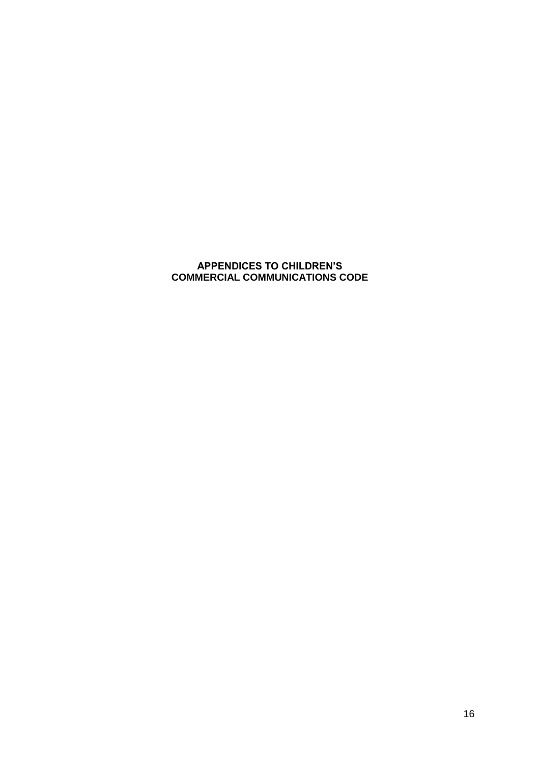# **APPENDICES TO CHILDREN'S COMMERCIAL COMMUNICATIONS CODE**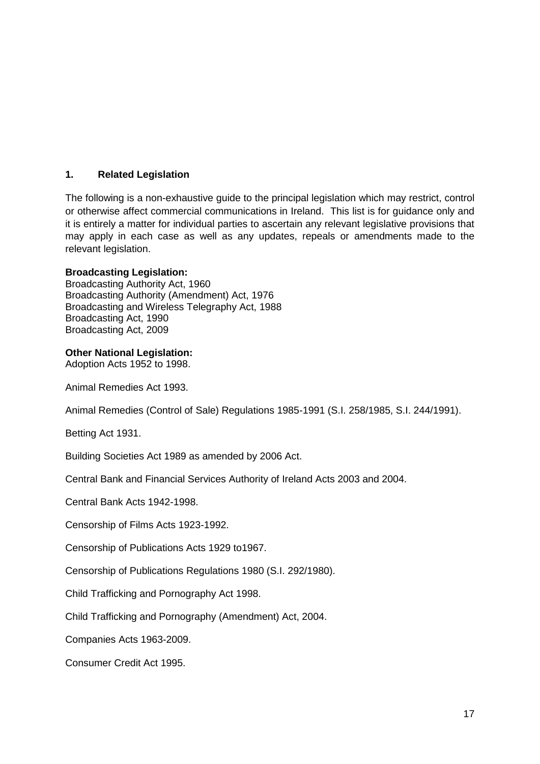# **1. Related Legislation**

The following is a non-exhaustive guide to the principal legislation which may restrict, control or otherwise affect commercial communications in Ireland. This list is for guidance only and it is entirely a matter for individual parties to ascertain any relevant legislative provisions that may apply in each case as well as any updates, repeals or amendments made to the relevant legislation.

## **Broadcasting Legislation:**

Broadcasting Authority Act, 1960 Broadcasting Authority (Amendment) Act, 1976 Broadcasting and Wireless Telegraphy Act, 1988 Broadcasting Act, 1990 Broadcasting Act, 2009

#### **Other National Legislation:**

Adoption Acts 1952 to 1998.

Animal Remedies Act 1993.

Animal Remedies (Control of Sale) Regulations 1985-1991 (S.I. 258/1985, S.I. 244/1991).

Betting Act 1931.

Building Societies Act 1989 as amended by 2006 Act.

Central Bank and Financial Services Authority of Ireland Acts 2003 and 2004.

Central Bank Acts 1942-1998.

Censorship of Films Acts 1923-1992.

Censorship of Publications Acts 1929 to1967.

Censorship of Publications Regulations 1980 (S.I. 292/1980).

Child Trafficking and Pornography Act 1998.

Child Trafficking and Pornography (Amendment) Act, 2004.

Companies Acts 1963-2009.

Consumer Credit Act 1995.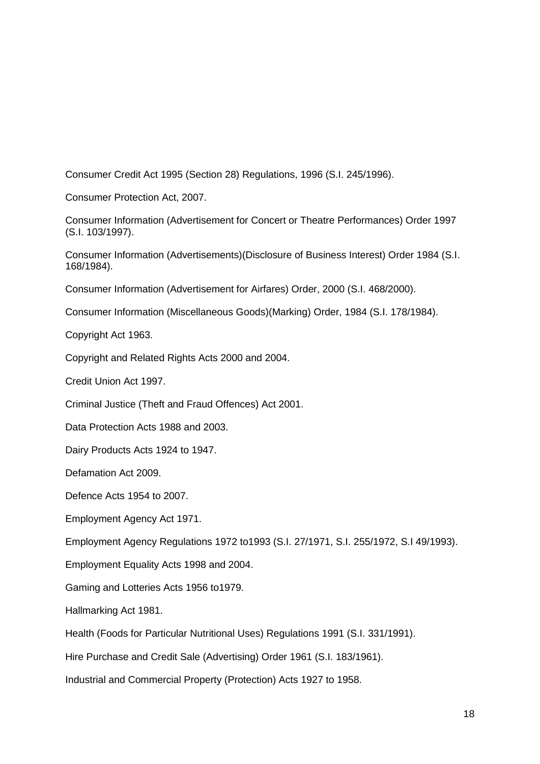Consumer Credit Act 1995 (Section 28) Regulations, 1996 (S.I. 245/1996).

Consumer Protection Act, 2007.

Consumer Information (Advertisement for Concert or Theatre Performances) Order 1997 (S.I. 103/1997).

Consumer Information (Advertisements)(Disclosure of Business Interest) Order 1984 (S.I. 168/1984).

Consumer Information (Advertisement for Airfares) Order, 2000 (S.I. 468/2000).

Consumer Information (Miscellaneous Goods)(Marking) Order, 1984 (S.I. 178/1984).

Copyright Act 1963.

Copyright and Related Rights Acts 2000 and 2004.

Credit Union Act 1997.

Criminal Justice (Theft and Fraud Offences) Act 2001.

Data Protection Acts 1988 and 2003.

Dairy Products Acts 1924 to 1947.

Defamation Act 2009.

Defence Acts 1954 to 2007.

Employment Agency Act 1971.

Employment Agency Regulations 1972 to1993 (S.I. 27/1971, S.I. 255/1972, S.I 49/1993).

Employment Equality Acts 1998 and 2004.

Gaming and Lotteries Acts 1956 to1979.

Hallmarking Act 1981.

Health (Foods for Particular Nutritional Uses) Regulations 1991 (S.I. 331/1991).

Hire Purchase and Credit Sale (Advertising) Order 1961 (S.I. 183/1961).

Industrial and Commercial Property (Protection) Acts 1927 to 1958.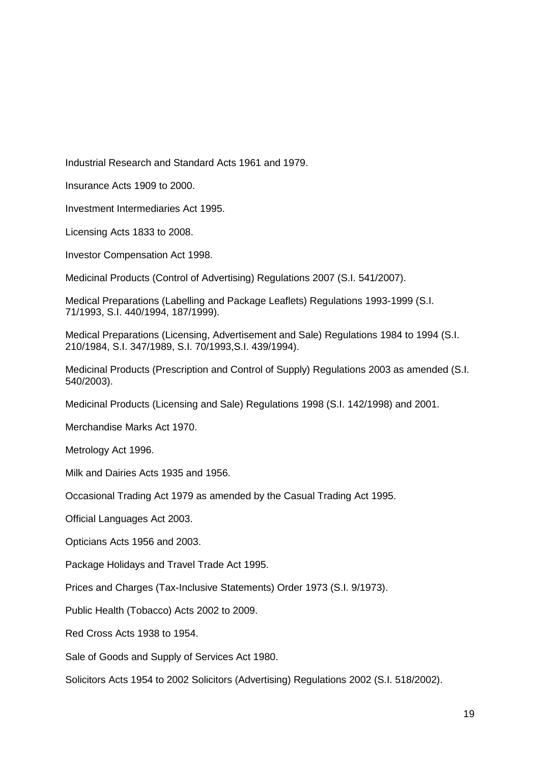Industrial Research and Standard Acts 1961 and 1979.

Insurance Acts 1909 to 2000.

Investment Intermediaries Act 1995.

Licensing Acts 1833 to 2008.

Investor Compensation Act 1998.

Medicinal Products (Control of Advertising) Regulations 2007 (S.I. 541/2007).

Medical Preparations (Labelling and Package Leaflets) Regulations 1993-1999 (S.I. 71/1993, S.I. 440/1994, 187/1999).

Medical Preparations (Licensing, Advertisement and Sale) Regulations 1984 to 1994 (S.I. 210/1984, S.I. 347/1989, S.I. 70/1993,S.I. 439/1994).

Medicinal Products (Prescription and Control of Supply) Regulations 2003 as amended (S.I. 540/2003).

Medicinal Products (Licensing and Sale) Regulations 1998 (S.I. 142/1998) and 2001.

Merchandise Marks Act 1970.

Metrology Act 1996.

Milk and Dairies Acts 1935 and 1956.

Occasional Trading Act 1979 as amended by the Casual Trading Act 1995.

Official Languages Act 2003.

Opticians Acts 1956 and 2003.

Package Holidays and Travel Trade Act 1995.

Prices and Charges (Tax-Inclusive Statements) Order 1973 (S.I. 9/1973).

Public Health (Tobacco) Acts 2002 to 2009.

Red Cross Acts 1938 to 1954.

Sale of Goods and Supply of Services Act 1980.

Solicitors Acts 1954 to 2002 Solicitors (Advertising) Regulations 2002 (S.I. 518/2002).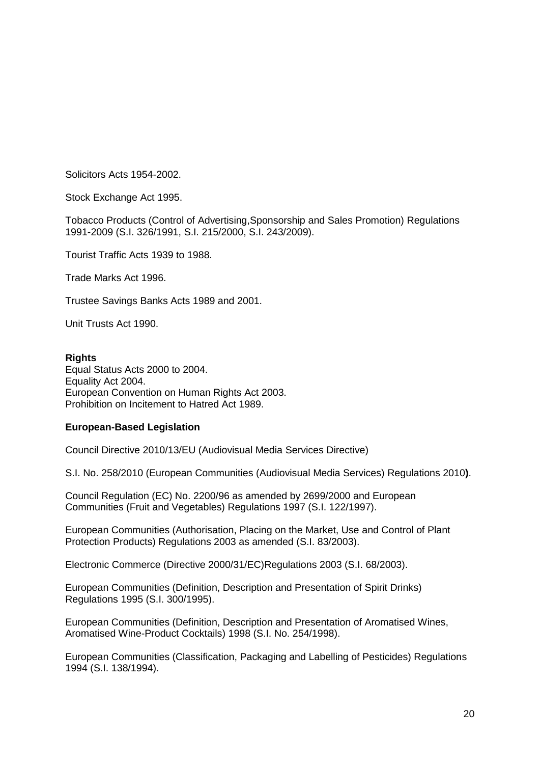Solicitors Acts 1954-2002.

Stock Exchange Act 1995.

Tobacco Products (Control of Advertising,Sponsorship and Sales Promotion) Regulations 1991-2009 (S.I. 326/1991, S.I. 215/2000, S.I. 243/2009).

Tourist Traffic Acts 1939 to 1988.

Trade Marks Act 1996.

Trustee Savings Banks Acts 1989 and 2001.

Unit Trusts Act 1990.

#### **Rights**

Equal Status Acts 2000 to 2004. Equality Act 2004. European Convention on Human Rights Act 2003. Prohibition on Incitement to Hatred Act 1989.

#### **European-Based Legislation**

Council Directive 2010/13/EU (Audiovisual Media Services Directive)

S.I. No. 258/2010 (European Communities (Audiovisual Media Services) Regulations 2010**)**.

Council Regulation (EC) No. 2200/96 as amended by 2699/2000 and European Communities (Fruit and Vegetables) Regulations 1997 (S.I. 122/1997).

European Communities (Authorisation, Placing on the Market, Use and Control of Plant Protection Products) Regulations 2003 as amended (S.I. 83/2003).

Electronic Commerce (Directive 2000/31/EC)Regulations 2003 (S.I. 68/2003).

European Communities (Definition, Description and Presentation of Spirit Drinks) Regulations 1995 (S.I. 300/1995).

European Communities (Definition, Description and Presentation of Aromatised Wines, Aromatised Wine-Product Cocktails) 1998 (S.I. No. 254/1998).

European Communities (Classification, Packaging and Labelling of Pesticides) Regulations 1994 (S.I. 138/1994).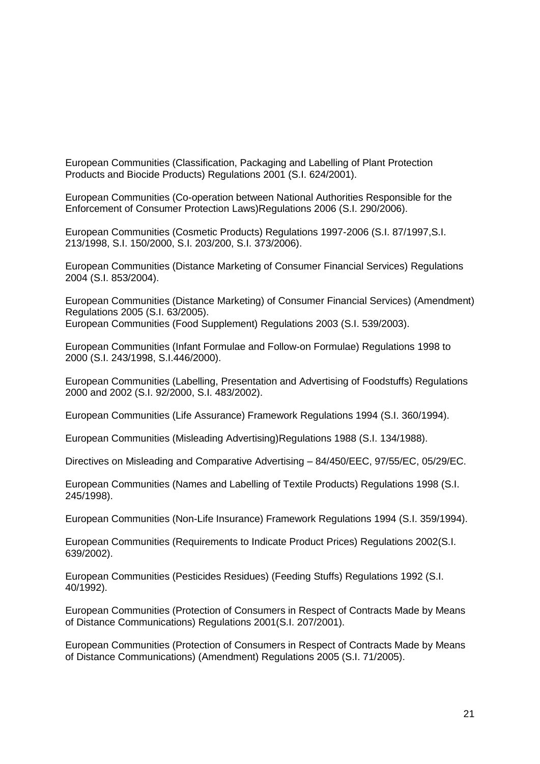European Communities (Classification, Packaging and Labelling of Plant Protection Products and Biocide Products) Regulations 2001 (S.I. 624/2001).

European Communities (Co-operation between National Authorities Responsible for the Enforcement of Consumer Protection Laws)Regulations 2006 (S.I. 290/2006).

European Communities (Cosmetic Products) Regulations 1997-2006 (S.I. 87/1997,S.I. 213/1998, S.I. 150/2000, S.I. 203/200, S.I. 373/2006).

European Communities (Distance Marketing of Consumer Financial Services) Regulations 2004 (S.I. 853/2004).

European Communities (Distance Marketing) of Consumer Financial Services) (Amendment) Regulations 2005 (S.I. 63/2005). European Communities (Food Supplement) Regulations 2003 (S.I. 539/2003).

European Communities (Infant Formulae and Follow-on Formulae) Regulations 1998 to 2000 (S.I. 243/1998, S.I.446/2000).

European Communities (Labelling, Presentation and Advertising of Foodstuffs) Regulations 2000 and 2002 (S.I. 92/2000, S.I. 483/2002).

European Communities (Life Assurance) Framework Regulations 1994 (S.I. 360/1994).

European Communities (Misleading Advertising)Regulations 1988 (S.I. 134/1988).

Directives on Misleading and Comparative Advertising – 84/450/EEC, 97/55/EC, 05/29/EC.

European Communities (Names and Labelling of Textile Products) Regulations 1998 (S.I. 245/1998).

European Communities (Non-Life Insurance) Framework Regulations 1994 (S.I. 359/1994).

European Communities (Requirements to Indicate Product Prices) Regulations 2002(S.I. 639/2002).

European Communities (Pesticides Residues) (Feeding Stuffs) Regulations 1992 (S.I. 40/1992).

European Communities (Protection of Consumers in Respect of Contracts Made by Means of Distance Communications) Regulations 2001(S.I. 207/2001).

European Communities (Protection of Consumers in Respect of Contracts Made by Means of Distance Communications) (Amendment) Regulations 2005 (S.I. 71/2005).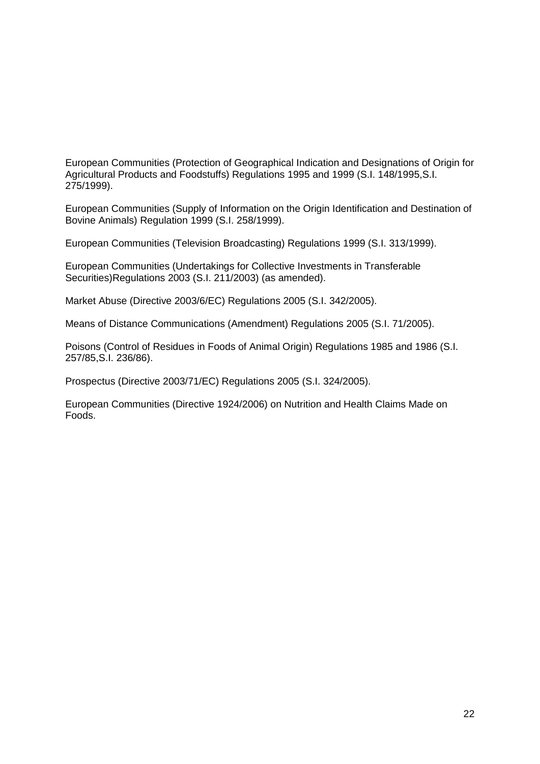European Communities (Protection of Geographical Indication and Designations of Origin for Agricultural Products and Foodstuffs) Regulations 1995 and 1999 (S.I. 148/1995,S.I. 275/1999).

European Communities (Supply of Information on the Origin Identification and Destination of Bovine Animals) Regulation 1999 (S.I. 258/1999).

European Communities (Television Broadcasting) Regulations 1999 (S.I. 313/1999).

European Communities (Undertakings for Collective Investments in Transferable Securities)Regulations 2003 (S.I. 211/2003) (as amended).

Market Abuse (Directive 2003/6/EC) Regulations 2005 (S.I. 342/2005).

Means of Distance Communications (Amendment) Regulations 2005 (S.I. 71/2005).

Poisons (Control of Residues in Foods of Animal Origin) Regulations 1985 and 1986 (S.I. 257/85,S.I. 236/86).

Prospectus (Directive 2003/71/EC) Regulations 2005 (S.I. 324/2005).

European Communities (Directive 1924/2006) on Nutrition and Health Claims Made on Foods.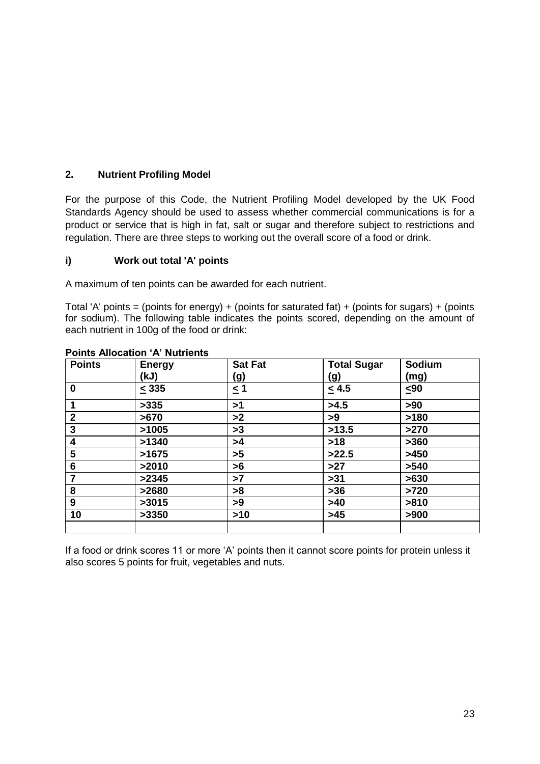# **2. Nutrient Profiling Model**

For the purpose of this Code, the Nutrient Profiling Model developed by the UK Food Standards Agency should be used to assess whether commercial communications is for a product or service that is high in fat, salt or sugar and therefore subject to restrictions and regulation. There are three steps to working out the overall score of a food or drink.

## **i) Work out total 'A' points**

A maximum of ten points can be awarded for each nutrient.

Total 'A' points = (points for energy) + (points for saturated fat) + (points for sugars) + (points for sodium). The following table indicates the points scored, depending on the amount of each nutrient in 100g of the food or drink:

| <b>Points</b>  | <b>Energy</b> | <b>Sat Fat</b> | <b>Total Sugar</b> | Sodium |
|----------------|---------------|----------------|--------------------|--------|
|                | (kJ)          | (g)            | (g)                | (mg)   |
| $\bf{0}$       | $\leq$ 335    | $\leq$ 1       | $\leq 4.5$         | ≤90    |
|                | >335          | >1             | >4.5               | >90    |
| $\overline{2}$ | >670          | >2             | >9                 | >180   |
| 3              | >1005         | >3             | >13.5              | >270   |
| 4              | >1340         | >4             | $>18$              | >360   |
| 5              | >1675         | >5             | >22.5              | >450   |
| 6              | >2010         | >6             | >27                | >540   |
| 7              | >2345         | >7             | $>31$              | >630   |
| 8              | >2680         | >8             | $>36$              | >720   |
| 9              | >3015         | >9             | >40                | >810   |
| 10             | >3350         | $>10$          | $>45$              | >900   |
|                |               |                |                    |        |

## **Points Allocation 'A' Nutrients**

If a food or drink scores 11 or more 'A' points then it cannot score points for protein unless it also scores 5 points for fruit, vegetables and nuts.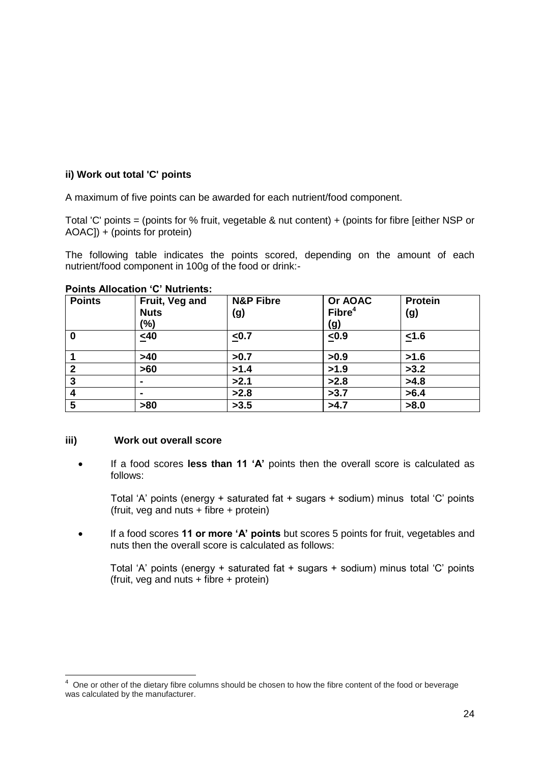# **ii) Work out total 'C' points**

A maximum of five points can be awarded for each nutrient/food component.

Total 'C' points = (points for % fruit, vegetable & nut content) + (points for fibre [either NSP or AOAC]) + (points for protein)

The following table indicates the points scored, depending on the amount of each nutrient/food component in 100g of the food or drink:-

| <b>Points</b>    | Fruit, Veg and | <b>N&amp;P Fibre</b> | Or AOAC            | <b>Protein</b> |
|------------------|----------------|----------------------|--------------------|----------------|
|                  | <b>Nuts</b>    | (g)                  | Fibre <sup>4</sup> | (g)            |
|                  | (%)            |                      | (g)                |                |
| $\boldsymbol{0}$ | $\leq 40$      | $\leq 0.7$           | $\leq 0.9$         | ≤1.6           |
|                  | >40            | >0.7                 | >0.9               | >1.6           |
| $\overline{2}$   | >60            | >1.4                 | >1.9               | >3.2           |
| 3                |                | >2.1                 | >2.8               | >4.8           |
| $\boldsymbol{4}$ |                | >2.8                 | >3.7               | >6.4           |
| 5                | >80            | >3.5                 | >4.7               | >8.0           |

#### **Points Allocation 'C' Nutrients:**

## **iii) Work out overall score**

 $\overline{\phantom{a}}$ 

 If a food scores **less than 11 'A'** points then the overall score is calculated as follows:

Total 'A' points (energy + saturated fat + sugars + sodium) minus total 'C' points  $(fruit, veg and nuts + fibre + protein)$ 

 If a food scores **11 or more 'A' points** but scores 5 points for fruit, vegetables and nuts then the overall score is calculated as follows:

Total 'A' points (energy + saturated fat + sugars + sodium) minus total 'C' points (fruit, veg and nuts + fibre + protein)

 $4$  One or other of the dietary fibre columns should be chosen to how the fibre content of the food or beverage was calculated by the manufacturer.